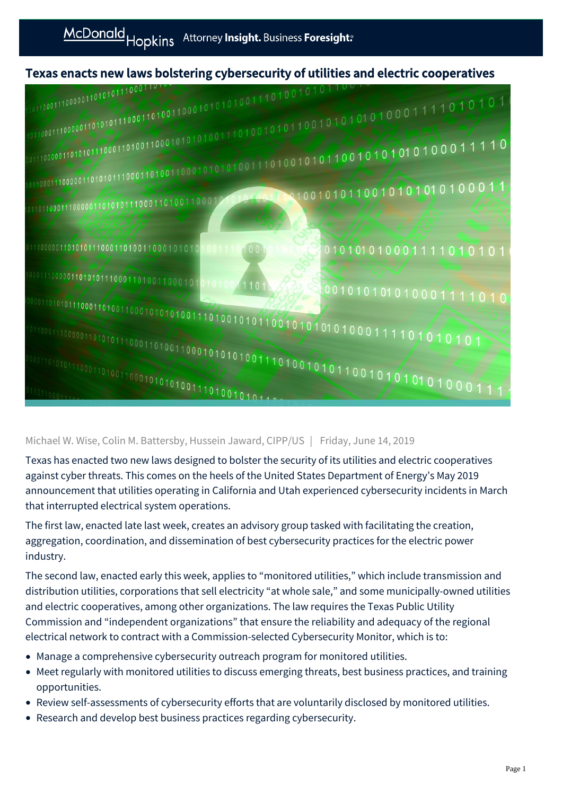



## Michael W. Wise, Colin M. Battersby, Hussein Jaward, CIPP/US | Friday, June 14, 2019

Texas has enacted two new laws designed to bolster the security of its utilities and electric cooperatives against cyber threats. This comes on the heels of the United States Department of Energy's May 2019 announcement that utilities operating in California and Utah experienced cybersecurity incidents in March that interrupted electrical system operations.

The first law, enacted late last week, creates an advisory group tasked with facilitating the creation, aggregation, coordination, and dissemination of best cybersecurity practices for the electric power industry.

The second law, enacted early this week, applies to "monitored utilities," which include transmission and distribution utilities, corporations that sell electricity "at whole sale," and some municipally-owned utilities and electric cooperatives, among other organizations. The law requires the Texas Public Utility Commission and "independent organizations" that ensure the reliability and adequacy of the regional electrical network to contract with a Commission-selected Cybersecurity Monitor, which is to:

- Manage a comprehensive cybersecurity outreach program for monitored utilities.
- Meet regularly with monitored utilities to discuss emerging threats, best business practices, and training opportunities.
- Review self-assessments of cybersecurity efforts that are voluntarily disclosed by monitored utilities.
- Research and develop best business practices regarding cybersecurity.